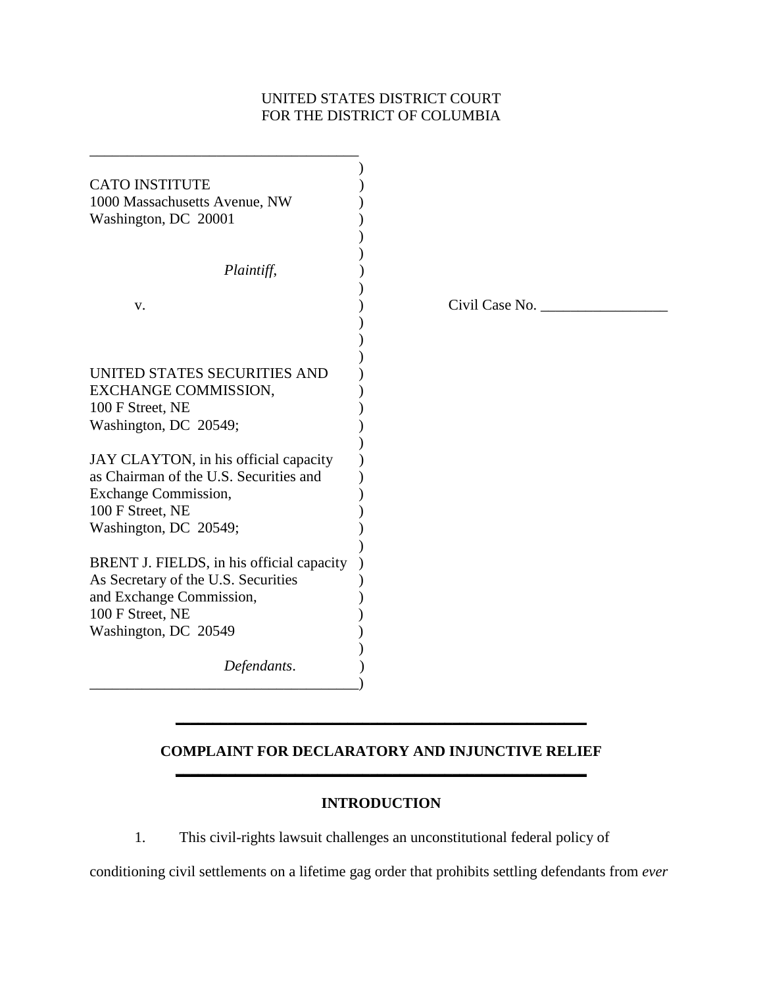# UNITED STATES DISTRICT COURT FOR THE DISTRICT OF COLUMBIA

| <b>CATO INSTITUTE</b>                     |                |
|-------------------------------------------|----------------|
| 1000 Massachusetts Avenue, NW             |                |
| Washington, DC 20001                      |                |
|                                           |                |
| Plaintiff,                                |                |
| V.                                        | Civil Case No. |
|                                           |                |
| UNITED STATES SECURITIES AND              |                |
| EXCHANGE COMMISSION,                      |                |
| 100 F Street, NE                          |                |
| Washington, DC 20549;                     |                |
| JAY CLAYTON, in his official capacity     |                |
| as Chairman of the U.S. Securities and    |                |
| <b>Exchange Commission,</b>               |                |
| 100 F Street, NE                          |                |
| Washington, DC 20549;                     |                |
| BRENT J. FIELDS, in his official capacity |                |
| As Secretary of the U.S. Securities       |                |
| and Exchange Commission,                  |                |
| 100 F Street, NE                          |                |
| Washington, DC 20549                      |                |
| Defendants.                               |                |
|                                           |                |

# **COMPLAINT FOR DECLARATORY AND INJUNCTIVE RELIEF \_\_\_\_\_\_\_\_\_\_\_\_\_\_\_\_\_\_\_\_\_\_\_\_\_\_\_\_\_\_\_\_\_\_\_\_\_\_\_\_\_\_\_\_\_\_\_\_\_\_\_\_\_\_\_**

**\_\_\_\_\_\_\_\_\_\_\_\_\_\_\_\_\_\_\_\_\_\_\_\_\_\_\_\_\_\_\_\_\_\_\_\_\_\_\_\_\_\_\_\_\_\_\_\_\_\_\_\_\_\_\_** 

# **INTRODUCTION**

1. This civil-rights lawsuit challenges an unconstitutional federal policy of

conditioning civil settlements on a lifetime gag order that prohibits settling defendants from *ever*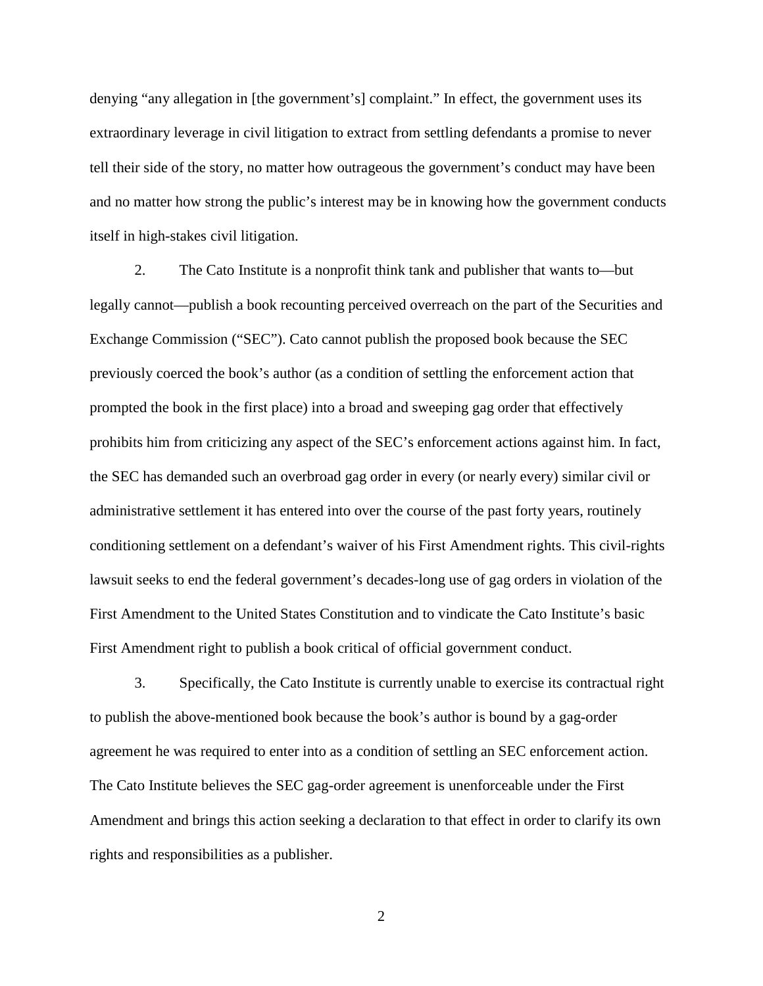denying "any allegation in [the government's] complaint." In effect, the government uses its extraordinary leverage in civil litigation to extract from settling defendants a promise to never tell their side of the story, no matter how outrageous the government's conduct may have been and no matter how strong the public's interest may be in knowing how the government conducts itself in high-stakes civil litigation.

2. The Cato Institute is a nonprofit think tank and publisher that wants to—but legally cannot—publish a book recounting perceived overreach on the part of the Securities and Exchange Commission ("SEC"). Cato cannot publish the proposed book because the SEC previously coerced the book's author (as a condition of settling the enforcement action that prompted the book in the first place) into a broad and sweeping gag order that effectively prohibits him from criticizing any aspect of the SEC's enforcement actions against him. In fact, the SEC has demanded such an overbroad gag order in every (or nearly every) similar civil or administrative settlement it has entered into over the course of the past forty years, routinely conditioning settlement on a defendant's waiver of his First Amendment rights. This civil-rights lawsuit seeks to end the federal government's decades-long use of gag orders in violation of the First Amendment to the United States Constitution and to vindicate the Cato Institute's basic First Amendment right to publish a book critical of official government conduct.

3. Specifically, the Cato Institute is currently unable to exercise its contractual right to publish the above-mentioned book because the book's author is bound by a gag-order agreement he was required to enter into as a condition of settling an SEC enforcement action. The Cato Institute believes the SEC gag-order agreement is unenforceable under the First Amendment and brings this action seeking a declaration to that effect in order to clarify its own rights and responsibilities as a publisher.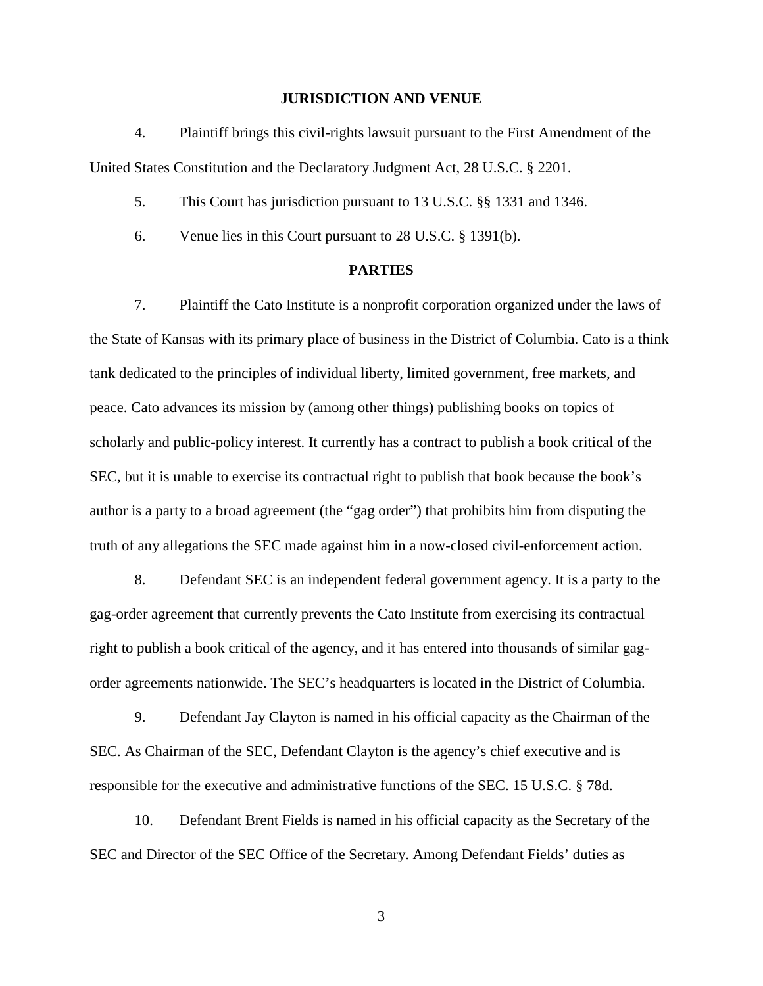#### **JURISDICTION AND VENUE**

4. Plaintiff brings this civil-rights lawsuit pursuant to the First Amendment of the United States Constitution and the Declaratory Judgment Act, 28 U.S.C. § 2201.

5. This Court has jurisdiction pursuant to 13 U.S.C. §§ 1331 and 1346.

6. Venue lies in this Court pursuant to 28 U.S.C. § 1391(b).

#### **PARTIES**

7. Plaintiff the Cato Institute is a nonprofit corporation organized under the laws of the State of Kansas with its primary place of business in the District of Columbia. Cato is a think tank dedicated to the principles of individual liberty, limited government, free markets, and peace. Cato advances its mission by (among other things) publishing books on topics of scholarly and public-policy interest. It currently has a contract to publish a book critical of the SEC, but it is unable to exercise its contractual right to publish that book because the book's author is a party to a broad agreement (the "gag order") that prohibits him from disputing the truth of any allegations the SEC made against him in a now-closed civil-enforcement action.

8. Defendant SEC is an independent federal government agency. It is a party to the gag-order agreement that currently prevents the Cato Institute from exercising its contractual right to publish a book critical of the agency, and it has entered into thousands of similar gagorder agreements nationwide. The SEC's headquarters is located in the District of Columbia.

9. Defendant Jay Clayton is named in his official capacity as the Chairman of the SEC. As Chairman of the SEC, Defendant Clayton is the agency's chief executive and is responsible for the executive and administrative functions of the SEC. 15 U.S.C. § 78d.

10. Defendant Brent Fields is named in his official capacity as the Secretary of the SEC and Director of the SEC Office of the Secretary. Among Defendant Fields' duties as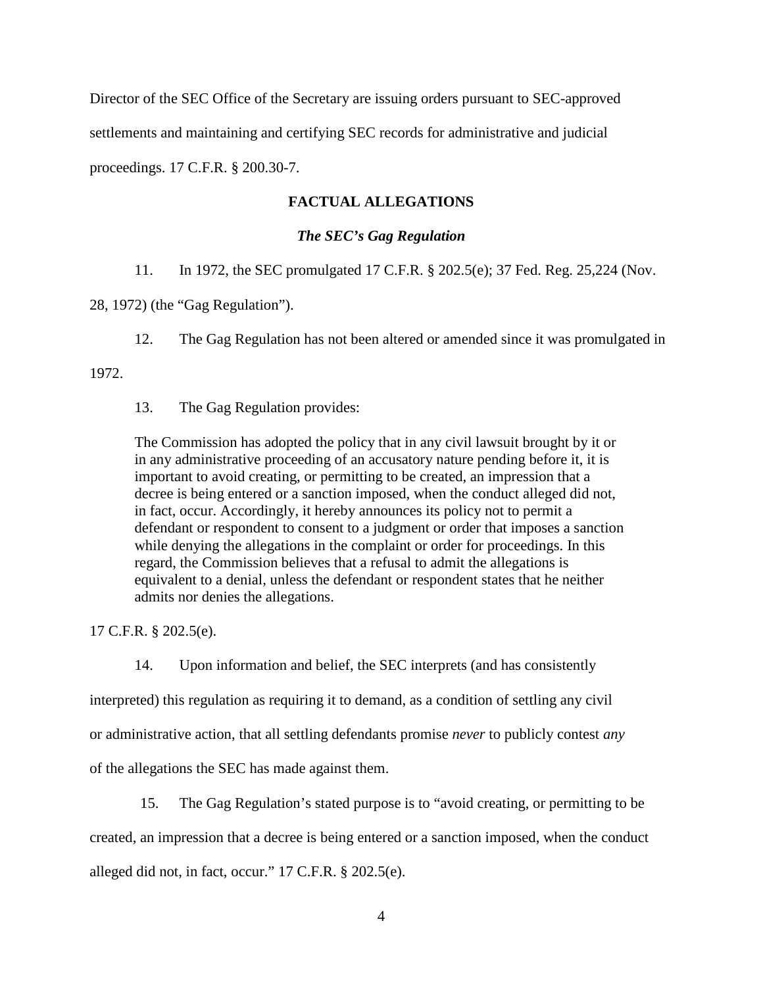Director of the SEC Office of the Secretary are issuing orders pursuant to SEC-approved settlements and maintaining and certifying SEC records for administrative and judicial proceedings. 17 C.F.R. § 200.30-7.

## **FACTUAL ALLEGATIONS**

### *The SEC's Gag Regulation*

11. In 1972, the SEC promulgated 17 C.F.R. § 202.5(e); 37 Fed. Reg. 25,224 (Nov.

28, 1972) (the "Gag Regulation").

12. The Gag Regulation has not been altered or amended since it was promulgated in

1972.

13. The Gag Regulation provides:

The Commission has adopted the policy that in any civil lawsuit brought by it or in any administrative proceeding of an accusatory nature pending before it, it is important to avoid creating, or permitting to be created, an impression that a decree is being entered or a sanction imposed, when the conduct alleged did not, in fact, occur. Accordingly, it hereby announces its policy not to permit a defendant or respondent to consent to a judgment or order that imposes a sanction while denying the allegations in the complaint or order for proceedings. In this regard, the Commission believes that a refusal to admit the allegations is equivalent to a denial, unless the defendant or respondent states that he neither admits nor denies the allegations.

17 C.F.R. § 202.5(e).

14. Upon information and belief, the SEC interprets (and has consistently

interpreted) this regulation as requiring it to demand, as a condition of settling any civil

or administrative action, that all settling defendants promise *never* to publicly contest *any* 

of the allegations the SEC has made against them.

15. The Gag Regulation's stated purpose is to "avoid creating, or permitting to be created, an impression that a decree is being entered or a sanction imposed, when the conduct alleged did not, in fact, occur." 17 C.F.R. § 202.5(e).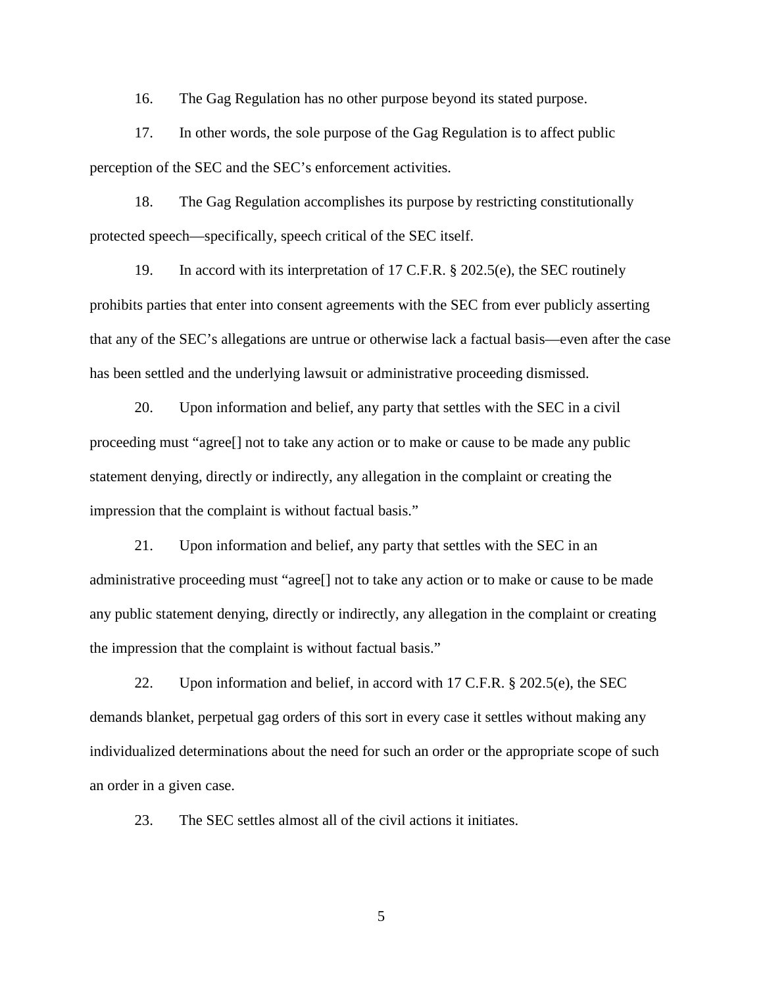16. The Gag Regulation has no other purpose beyond its stated purpose.

17. In other words, the sole purpose of the Gag Regulation is to affect public perception of the SEC and the SEC's enforcement activities.

18. The Gag Regulation accomplishes its purpose by restricting constitutionally protected speech—specifically, speech critical of the SEC itself.

19. In accord with its interpretation of 17 C.F.R. § 202.5(e), the SEC routinely prohibits parties that enter into consent agreements with the SEC from ever publicly asserting that any of the SEC's allegations are untrue or otherwise lack a factual basis—even after the case has been settled and the underlying lawsuit or administrative proceeding dismissed.

20. Upon information and belief, any party that settles with the SEC in a civil proceeding must "agree[] not to take any action or to make or cause to be made any public statement denying, directly or indirectly, any allegation in the complaint or creating the impression that the complaint is without factual basis."

21. Upon information and belief, any party that settles with the SEC in an administrative proceeding must "agree[] not to take any action or to make or cause to be made any public statement denying, directly or indirectly, any allegation in the complaint or creating the impression that the complaint is without factual basis."

22. Upon information and belief, in accord with 17 C.F.R. § 202.5(e), the SEC demands blanket, perpetual gag orders of this sort in every case it settles without making any individualized determinations about the need for such an order or the appropriate scope of such an order in a given case.

23. The SEC settles almost all of the civil actions it initiates.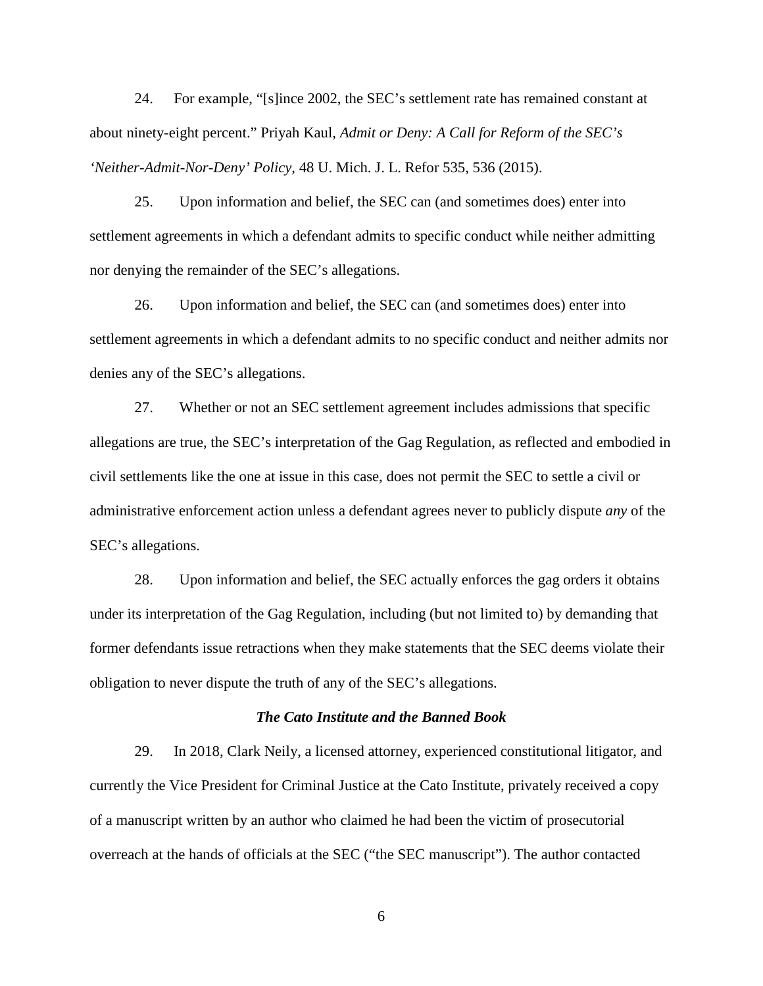24. For example, "[s]ince 2002, the SEC's settlement rate has remained constant at about ninety-eight percent." Priyah Kaul, *Admit or Deny: A Call for Reform of the SEC's 'Neither-Admit-Nor-Deny' Policy*, 48 U. Mich. J. L. Refor 535, 536 (2015).

25. Upon information and belief, the SEC can (and sometimes does) enter into settlement agreements in which a defendant admits to specific conduct while neither admitting nor denying the remainder of the SEC's allegations.

26. Upon information and belief, the SEC can (and sometimes does) enter into settlement agreements in which a defendant admits to no specific conduct and neither admits nor denies any of the SEC's allegations.

27. Whether or not an SEC settlement agreement includes admissions that specific allegations are true, the SEC's interpretation of the Gag Regulation, as reflected and embodied in civil settlements like the one at issue in this case, does not permit the SEC to settle a civil or administrative enforcement action unless a defendant agrees never to publicly dispute *any* of the SEC's allegations.

28. Upon information and belief, the SEC actually enforces the gag orders it obtains under its interpretation of the Gag Regulation, including (but not limited to) by demanding that former defendants issue retractions when they make statements that the SEC deems violate their obligation to never dispute the truth of any of the SEC's allegations.

#### *The Cato Institute and the Banned Book*

29. In 2018, Clark Neily, a licensed attorney, experienced constitutional litigator, and currently the Vice President for Criminal Justice at the Cato Institute, privately received a copy of a manuscript written by an author who claimed he had been the victim of prosecutorial overreach at the hands of officials at the SEC ("the SEC manuscript"). The author contacted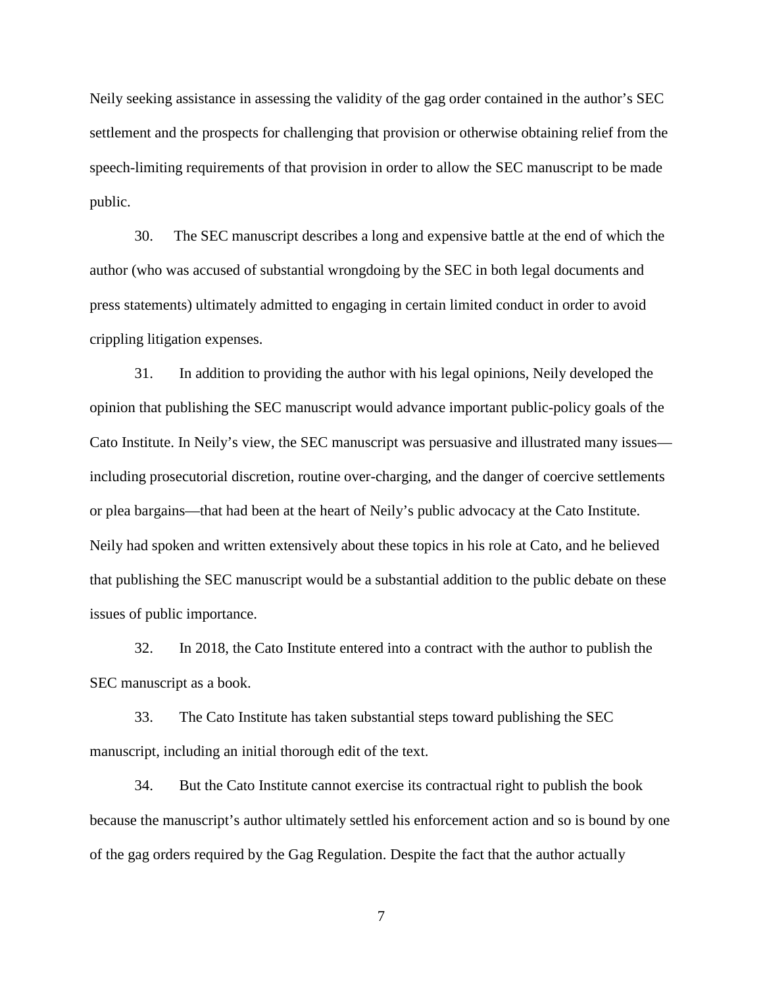Neily seeking assistance in assessing the validity of the gag order contained in the author's SEC settlement and the prospects for challenging that provision or otherwise obtaining relief from the speech-limiting requirements of that provision in order to allow the SEC manuscript to be made public.

30. The SEC manuscript describes a long and expensive battle at the end of which the author (who was accused of substantial wrongdoing by the SEC in both legal documents and press statements) ultimately admitted to engaging in certain limited conduct in order to avoid crippling litigation expenses.

31. In addition to providing the author with his legal opinions, Neily developed the opinion that publishing the SEC manuscript would advance important public-policy goals of the Cato Institute. In Neily's view, the SEC manuscript was persuasive and illustrated many issues including prosecutorial discretion, routine over-charging, and the danger of coercive settlements or plea bargains—that had been at the heart of Neily's public advocacy at the Cato Institute. Neily had spoken and written extensively about these topics in his role at Cato, and he believed that publishing the SEC manuscript would be a substantial addition to the public debate on these issues of public importance.

32. In 2018, the Cato Institute entered into a contract with the author to publish the SEC manuscript as a book.

33. The Cato Institute has taken substantial steps toward publishing the SEC manuscript, including an initial thorough edit of the text.

34. But the Cato Institute cannot exercise its contractual right to publish the book because the manuscript's author ultimately settled his enforcement action and so is bound by one of the gag orders required by the Gag Regulation. Despite the fact that the author actually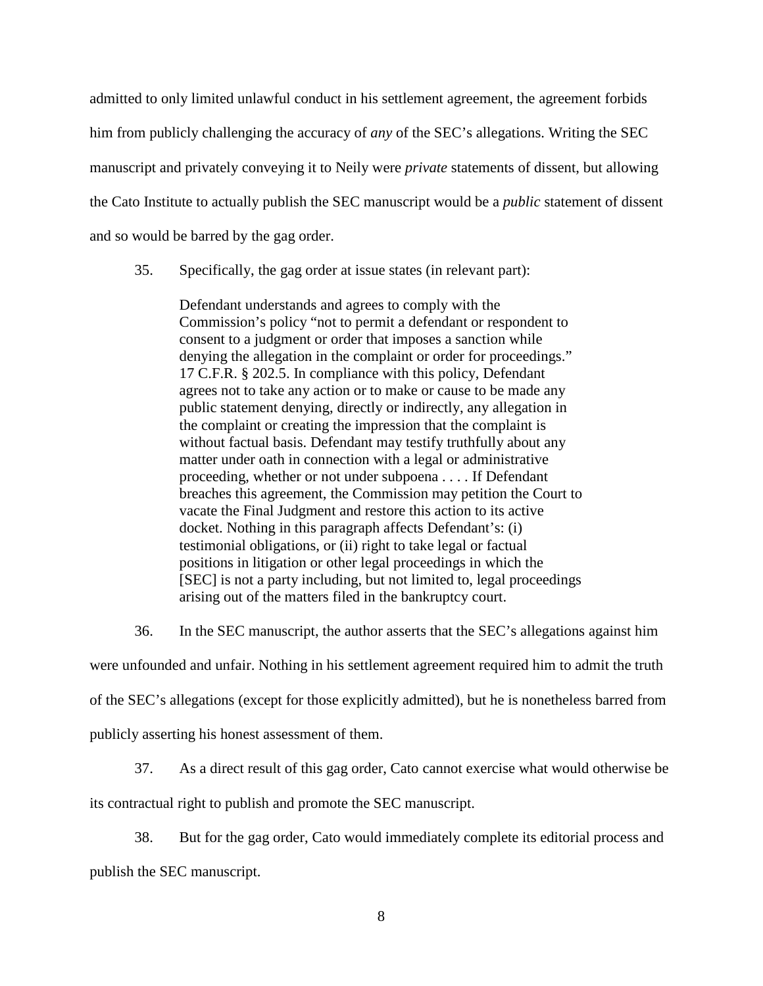admitted to only limited unlawful conduct in his settlement agreement, the agreement forbids him from publicly challenging the accuracy of *any* of the SEC's allegations. Writing the SEC manuscript and privately conveying it to Neily were *private* statements of dissent, but allowing the Cato Institute to actually publish the SEC manuscript would be a *public* statement of dissent and so would be barred by the gag order.

35. Specifically, the gag order at issue states (in relevant part):

Defendant understands and agrees to comply with the Commission's policy "not to permit a defendant or respondent to consent to a judgment or order that imposes a sanction while denying the allegation in the complaint or order for proceedings." 17 C.F.R. § 202.5. In compliance with this policy, Defendant agrees not to take any action or to make or cause to be made any public statement denying, directly or indirectly, any allegation in the complaint or creating the impression that the complaint is without factual basis. Defendant may testify truthfully about any matter under oath in connection with a legal or administrative proceeding, whether or not under subpoena . . . . If Defendant breaches this agreement, the Commission may petition the Court to vacate the Final Judgment and restore this action to its active docket. Nothing in this paragraph affects Defendant's: (i) testimonial obligations, or (ii) right to take legal or factual positions in litigation or other legal proceedings in which the [SEC] is not a party including, but not limited to, legal proceedings arising out of the matters filed in the bankruptcy court.

36. In the SEC manuscript, the author asserts that the SEC's allegations against him

were unfounded and unfair. Nothing in his settlement agreement required him to admit the truth

of the SEC's allegations (except for those explicitly admitted), but he is nonetheless barred from

publicly asserting his honest assessment of them.

37. As a direct result of this gag order, Cato cannot exercise what would otherwise be

its contractual right to publish and promote the SEC manuscript.

38. But for the gag order, Cato would immediately complete its editorial process and publish the SEC manuscript.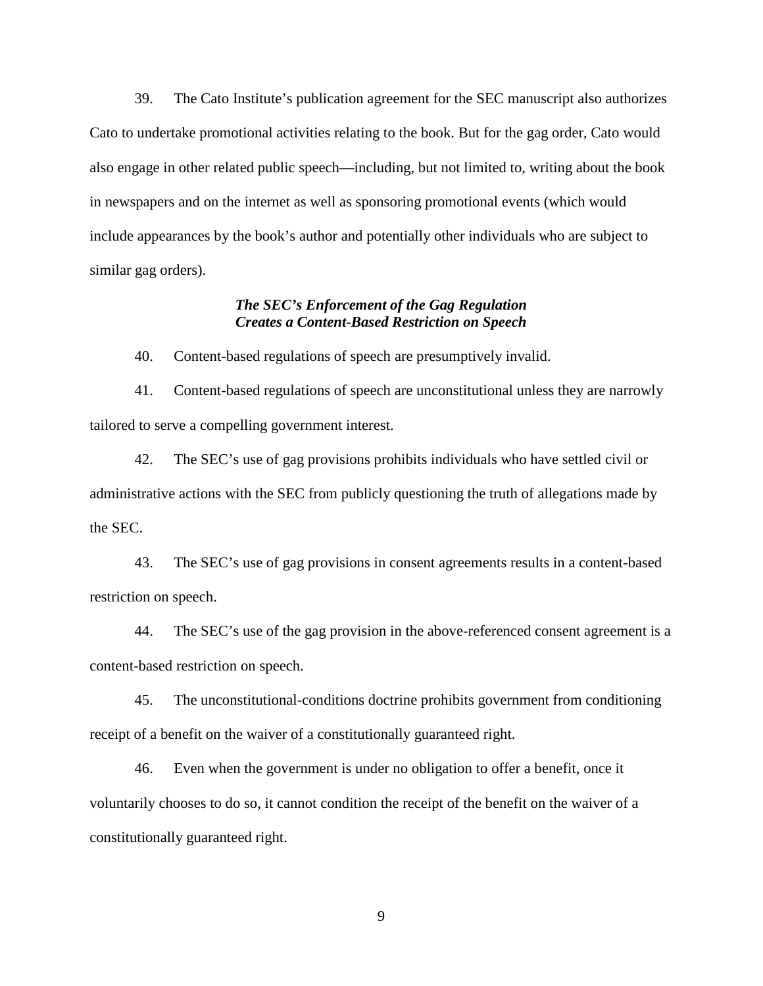39. The Cato Institute's publication agreement for the SEC manuscript also authorizes Cato to undertake promotional activities relating to the book. But for the gag order, Cato would also engage in other related public speech—including, but not limited to, writing about the book in newspapers and on the internet as well as sponsoring promotional events (which would include appearances by the book's author and potentially other individuals who are subject to similar gag orders).

## *The SEC's Enforcement of the Gag Regulation Creates a Content-Based Restriction on Speech*

40. Content-based regulations of speech are presumptively invalid.

41. Content-based regulations of speech are unconstitutional unless they are narrowly tailored to serve a compelling government interest.

42. The SEC's use of gag provisions prohibits individuals who have settled civil or administrative actions with the SEC from publicly questioning the truth of allegations made by the SEC.

43. The SEC's use of gag provisions in consent agreements results in a content-based restriction on speech.

44. The SEC's use of the gag provision in the above-referenced consent agreement is a content-based restriction on speech.

45. The unconstitutional-conditions doctrine prohibits government from conditioning receipt of a benefit on the waiver of a constitutionally guaranteed right.

46. Even when the government is under no obligation to offer a benefit, once it voluntarily chooses to do so, it cannot condition the receipt of the benefit on the waiver of a constitutionally guaranteed right.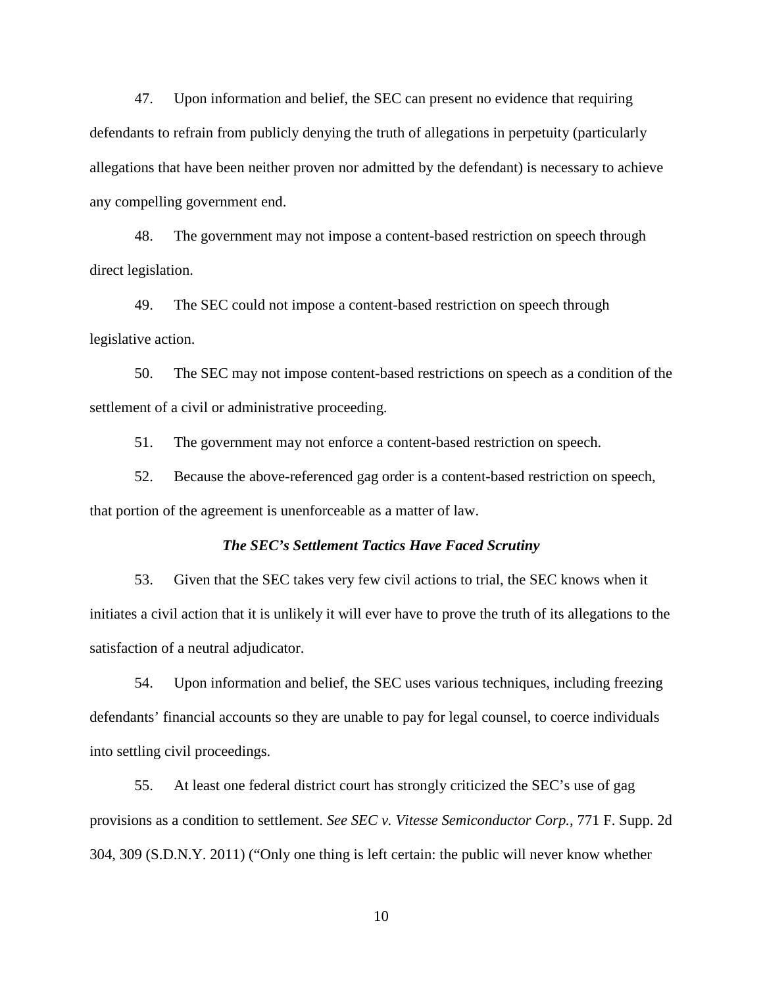47. Upon information and belief, the SEC can present no evidence that requiring defendants to refrain from publicly denying the truth of allegations in perpetuity (particularly allegations that have been neither proven nor admitted by the defendant) is necessary to achieve any compelling government end.

48. The government may not impose a content-based restriction on speech through direct legislation.

49. The SEC could not impose a content-based restriction on speech through legislative action.

50. The SEC may not impose content-based restrictions on speech as a condition of the settlement of a civil or administrative proceeding.

51. The government may not enforce a content-based restriction on speech.

52. Because the above-referenced gag order is a content-based restriction on speech, that portion of the agreement is unenforceable as a matter of law.

#### *The SEC's Settlement Tactics Have Faced Scrutiny*

53. Given that the SEC takes very few civil actions to trial, the SEC knows when it initiates a civil action that it is unlikely it will ever have to prove the truth of its allegations to the satisfaction of a neutral adjudicator.

54. Upon information and belief, the SEC uses various techniques, including freezing defendants' financial accounts so they are unable to pay for legal counsel, to coerce individuals into settling civil proceedings.

55. At least one federal district court has strongly criticized the SEC's use of gag provisions as a condition to settlement. *See SEC v. Vitesse Semiconductor Corp.*, 771 F. Supp. 2d 304, 309 (S.D.N.Y. 2011) ("Only one thing is left certain: the public will never know whether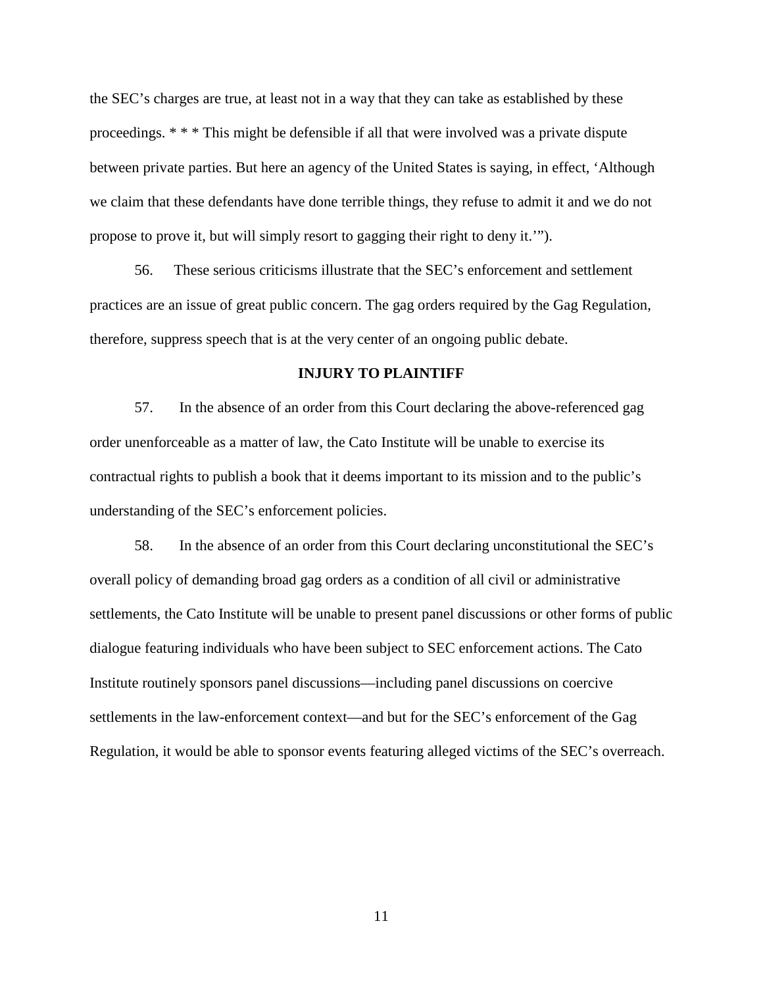the SEC's charges are true, at least not in a way that they can take as established by these proceedings. \* \* \* This might be defensible if all that were involved was a private dispute between private parties. But here an agency of the United States is saying, in effect, 'Although we claim that these defendants have done terrible things, they refuse to admit it and we do not propose to prove it, but will simply resort to gagging their right to deny it.'").

56. These serious criticisms illustrate that the SEC's enforcement and settlement practices are an issue of great public concern. The gag orders required by the Gag Regulation, therefore, suppress speech that is at the very center of an ongoing public debate.

### **INJURY TO PLAINTIFF**

57. In the absence of an order from this Court declaring the above-referenced gag order unenforceable as a matter of law, the Cato Institute will be unable to exercise its contractual rights to publish a book that it deems important to its mission and to the public's understanding of the SEC's enforcement policies.

58. In the absence of an order from this Court declaring unconstitutional the SEC's overall policy of demanding broad gag orders as a condition of all civil or administrative settlements, the Cato Institute will be unable to present panel discussions or other forms of public dialogue featuring individuals who have been subject to SEC enforcement actions. The Cato Institute routinely sponsors panel discussions—including panel discussions on coercive settlements in the law-enforcement context—and but for the SEC's enforcement of the Gag Regulation, it would be able to sponsor events featuring alleged victims of the SEC's overreach.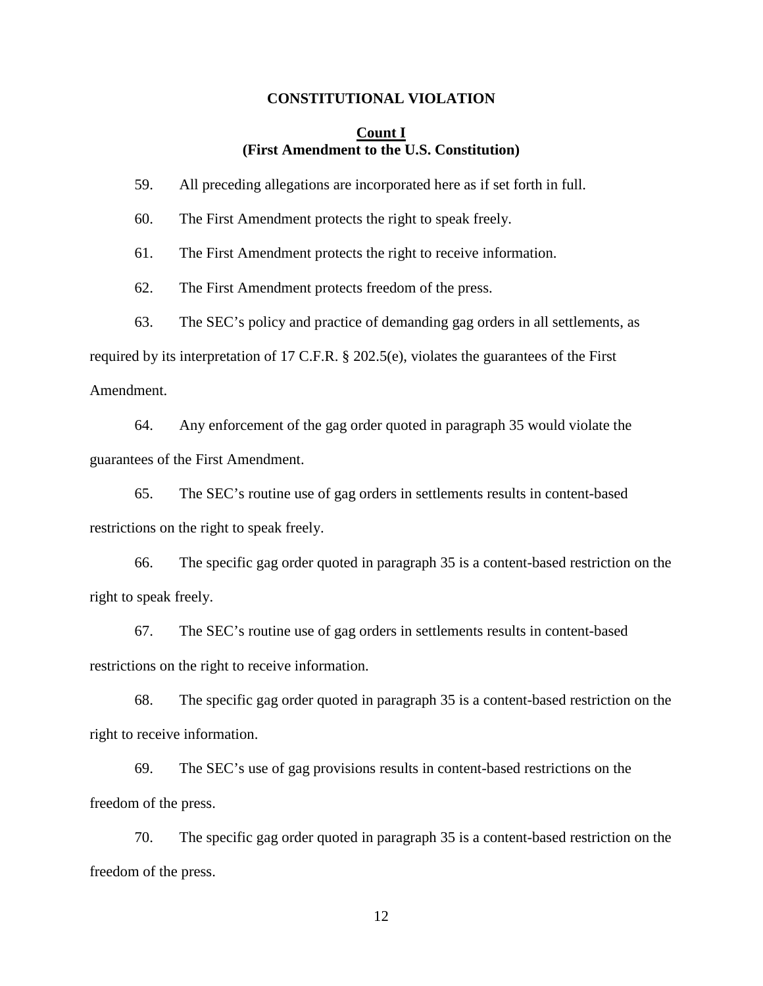#### **CONSTITUTIONAL VIOLATION**

### **Count I (First Amendment to the U.S. Constitution)**

59. All preceding allegations are incorporated here as if set forth in full.

60. The First Amendment protects the right to speak freely.

61. The First Amendment protects the right to receive information.

62. The First Amendment protects freedom of the press.

63. The SEC's policy and practice of demanding gag orders in all settlements, as

required by its interpretation of 17 C.F.R. § 202.5(e), violates the guarantees of the First

Amendment.

64. Any enforcement of the gag order quoted in paragraph 35 would violate the guarantees of the First Amendment.

65. The SEC's routine use of gag orders in settlements results in content-based restrictions on the right to speak freely.

66. The specific gag order quoted in paragraph 35 is a content-based restriction on the right to speak freely.

67. The SEC's routine use of gag orders in settlements results in content-based restrictions on the right to receive information.

68. The specific gag order quoted in paragraph 35 is a content-based restriction on the right to receive information.

69. The SEC's use of gag provisions results in content-based restrictions on the freedom of the press.

70. The specific gag order quoted in paragraph 35 is a content-based restriction on the freedom of the press.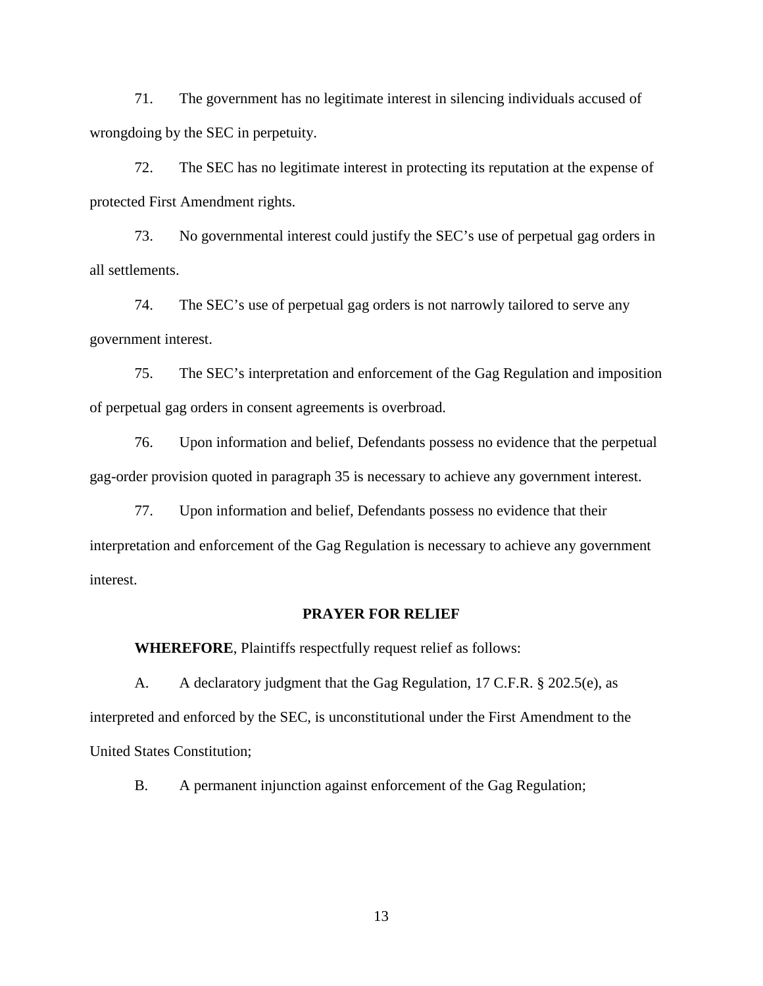71. The government has no legitimate interest in silencing individuals accused of wrongdoing by the SEC in perpetuity.

72. The SEC has no legitimate interest in protecting its reputation at the expense of protected First Amendment rights.

73. No governmental interest could justify the SEC's use of perpetual gag orders in all settlements.

74. The SEC's use of perpetual gag orders is not narrowly tailored to serve any government interest.

75. The SEC's interpretation and enforcement of the Gag Regulation and imposition of perpetual gag orders in consent agreements is overbroad.

76. Upon information and belief, Defendants possess no evidence that the perpetual gag-order provision quoted in paragraph 35 is necessary to achieve any government interest.

77. Upon information and belief, Defendants possess no evidence that their interpretation and enforcement of the Gag Regulation is necessary to achieve any government interest.

#### **PRAYER FOR RELIEF**

**WHEREFORE**, Plaintiffs respectfully request relief as follows:

A. A declaratory judgment that the Gag Regulation, 17 C.F.R. § 202.5(e), as interpreted and enforced by the SEC, is unconstitutional under the First Amendment to the United States Constitution;

B. A permanent injunction against enforcement of the Gag Regulation;